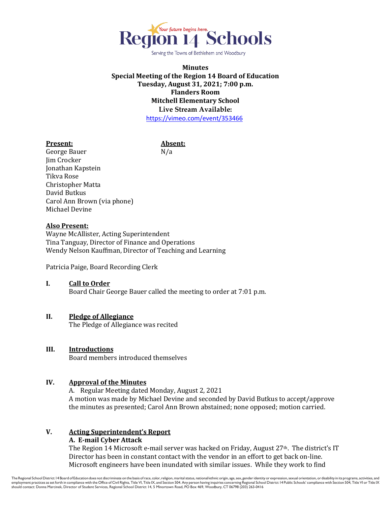

Serving the Towns of Bethlehem and Woodbury

# **Minutes Special Meeting of the Region 14 Board of Education Tuesday, August 31, 2021; 7:00 p.m. Flanders Room Mitchell Elementary School Live Stream Available:** <https://vimeo.com/event/353466>

#### **Present: Absent:**

George Bauer N/a Jim Crocker Jonathan Kapstein Tikva Rose Christopher Matta David Butkus Carol Ann Brown (via phone) Michael Devine

## **Also Present:**

Wayne McAllister, Acting Superintendent Tina Tanguay, Director of Finance and Operations Wendy Nelson Kauffman, Director of Teaching and Learning

Patricia Paige, Board Recording Clerk

# **I. Call to Order**

Board Chair George Bauer called the meeting to order at 7:01 p.m.

## **II. Pledge of Allegiance**

The Pledge of Allegiance was recited

## **III. Introductions**

Board members introduced themselves

# **IV. Approval of the Minutes**

A. Regular Meeting dated Monday, August 2, 2021 A motion was made by Michael Devine and seconded by David Butkus to accept/approve the minutes as presented; Carol Ann Brown abstained; none opposed; motion carried.

# **V. Acting Superintendent's Report**

## **A. E-mail Cyber Attack**

The Region 14 Microsoft e-mail server was hacked on Friday, August  $27<sup>th</sup>$ . The district's IT Director has been in constant contact with the vendor in an effort to get back on-line. Microsoft engineers have been inundated with similar issues. While they work to find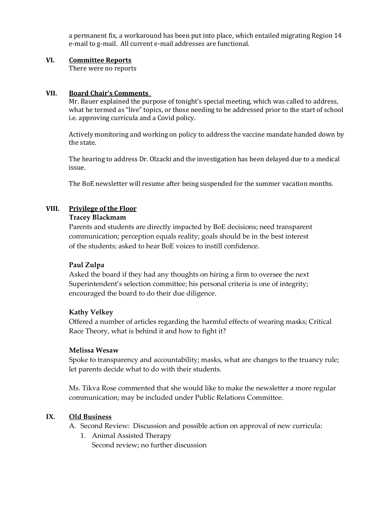a permanent fix, a workaround has been put into place, which entailed migrating Region 14 e-mail to g-mail. All current e-mail addresses are functional.

# **VI. Committee Reports**

There were no reports

## **VII. Board Chair's Comments**

Mr. Bauer explained the purpose of tonight's special meeting, which was called to address, what he termed as "live" topics, or those needing to be addressed prior to the start of school i.e. approving curricula and a Covid policy.

Actively monitoring and working on policy to address the vaccine mandate handed down by the state.

The hearing to address Dr. Olzacki and the investigation has been delayed due to a medical issue.

The BoE newsletter will resume after being suspended for the summer vacation months.

# **VIII. Privilege of the Floor**

## **Tracey Blackmam**

Parents and students are directly impacted by BoE decisions; need transparent communication; perception equals reality; goals should be in the best interest of the students; asked to hear BoE voices to instill confidence.

## **Paul Zulpa**

Asked the board if they had any thoughts on hiring a firm to oversee the next Superintendent's selection committee; his personal criteria is one of integrity; encouraged the board to do their due diligence.

## **Kathy Velkey**

Offered a number of articles regarding the harmful effects of wearing masks; Critical Race Theory, what is behind it and how to fight it?

## **Melissa Wesaw**

Spoke to transparency and accountability; masks, what are changes to the truancy rule; let parents decide what to do with their students.

Ms. Tikva Rose commented that she would like to make the newsletter a more regular communication; may be included under Public Relations Committee.

# **IX. Old Business**

- A. Second Review: Discussion and possible action on approval of new curricula:
	- 1. Animal Assisted Therapy Second review; no further discussion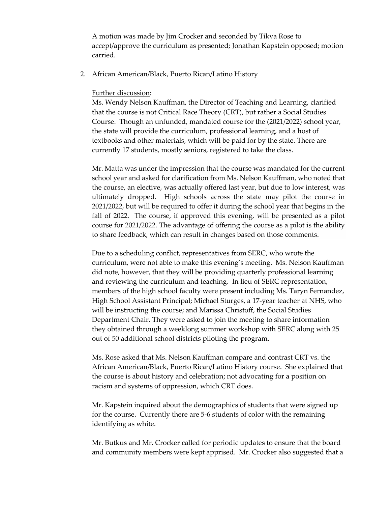A motion was made by Jim Crocker and seconded by Tikva Rose to accept/approve the curriculum as presented; Jonathan Kapstein opposed; motion carried.

2. African American/Black, Puerto Rican/Latino History

## Further discussion:

Ms. Wendy Nelson Kauffman, the Director of Teaching and Learning, clarified that the course is not Critical Race Theory (CRT), but rather a Social Studies Course. Though an unfunded, mandated course for the (2021/2022) school year, the state will provide the curriculum, professional learning, and a host of textbooks and other materials, which will be paid for by the state. There are currently 17 students, mostly seniors, registered to take the class.

Mr. Matta was under the impression that the course was mandated for the current school year and asked for clarification from Ms. Nelson Kauffman, who noted that the course, an elective, was actually offered last year, but due to low interest, was ultimately dropped. High schools across the state may pilot the course in 2021/2022, but will be required to offer it during the school year that begins in the fall of 2022. The course, if approved this evening, will be presented as a pilot course for 2021/2022. The advantage of offering the course as a pilot is the ability to share feedback, which can result in changes based on those comments.

Due to a scheduling conflict, representatives from SERC, who wrote the curriculum, were not able to make this evening's meeting. Ms. Nelson Kauffman did note, however, that they will be providing quarterly professional learning and reviewing the curriculum and teaching. In lieu of SERC representation, members of the high school faculty were present including Ms. Taryn Fernandez, High School Assistant Principal; Michael Sturges, a 17-year teacher at NHS, who will be instructing the course; and Marissa Christoff, the Social Studies Department Chair. They were asked to join the meeting to share information they obtained through a weeklong summer workshop with SERC along with 25 out of 50 additional school districts piloting the program.

Ms. Rose asked that Ms. Nelson Kauffman compare and contrast CRT vs. the African American/Black, Puerto Rican/Latino History course. She explained that the course is about history and celebration; not advocating for a position on racism and systems of oppression, which CRT does.

Mr. Kapstein inquired about the demographics of students that were signed up for the course. Currently there are 5-6 students of color with the remaining identifying as white.

Mr. Butkus and Mr. Crocker called for periodic updates to ensure that the board and community members were kept apprised. Mr. Crocker also suggested that a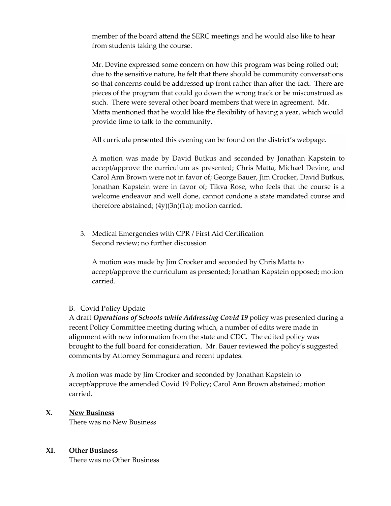member of the board attend the SERC meetings and he would also like to hear from students taking the course.

Mr. Devine expressed some concern on how this program was being rolled out; due to the sensitive nature, he felt that there should be community conversations so that concerns could be addressed up front rather than after-the-fact. There are pieces of the program that could go down the wrong track or be misconstrued as such. There were several other board members that were in agreement. Mr. Matta mentioned that he would like the flexibility of having a year, which would provide time to talk to the community.

All curricula presented this evening can be found on the district's webpage.

A motion was made by David Butkus and seconded by Jonathan Kapstein to accept/approve the curriculum as presented; Chris Matta, Michael Devine, and Carol Ann Brown were not in favor of; George Bauer, Jim Crocker, David Butkus, Jonathan Kapstein were in favor of; Tikva Rose, who feels that the course is a welcome endeavor and well done, cannot condone a state mandated course and therefore abstained; (4y)(3n)(1a); motion carried.

3. Medical Emergencies with CPR / First Aid Certification Second review; no further discussion

A motion was made by Jim Crocker and seconded by Chris Matta to accept/approve the curriculum as presented; Jonathan Kapstein opposed; motion carried.

# B. Covid Policy Update

A draft *Operations of Schools while Addressing Covid 19* policy was presented during a recent Policy Committee meeting during which, a number of edits were made in alignment with new information from the state and CDC. The edited policy was brought to the full board for consideration. Mr. Bauer reviewed the policy's suggested comments by Attorney Sommagura and recent updates.

A motion was made by Jim Crocker and seconded by Jonathan Kapstein to accept/approve the amended Covid 19 Policy; Carol Ann Brown abstained; motion carried.

# **X. New Business**

There was no New Business

# **XI. Other Business**

There was no Other Business